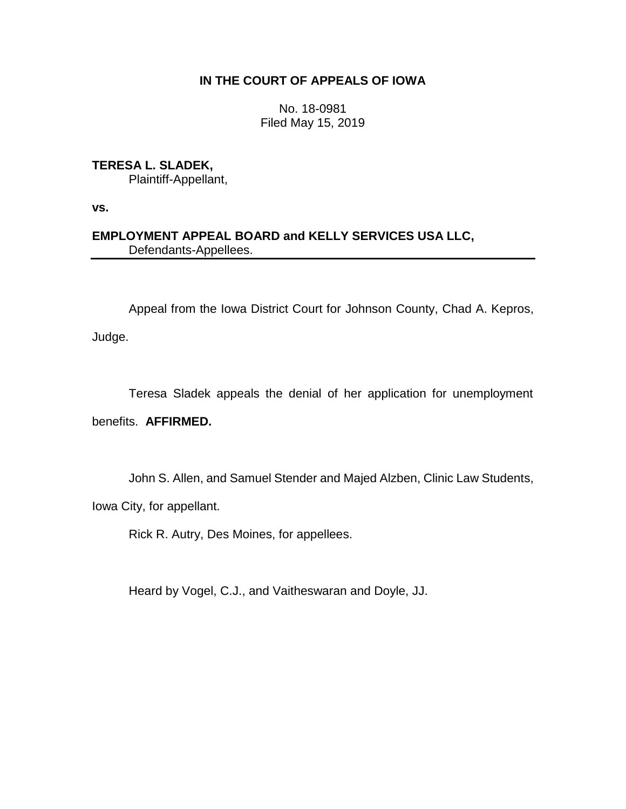# **IN THE COURT OF APPEALS OF IOWA**

No. 18-0981 Filed May 15, 2019

**TERESA L. SLADEK,** Plaintiff-Appellant,

**vs.**

**EMPLOYMENT APPEAL BOARD and KELLY SERVICES USA LLC,** Defendants-Appellees.

Appeal from the Iowa District Court for Johnson County, Chad A. Kepros,

Judge.

Teresa Sladek appeals the denial of her application for unemployment

benefits. **AFFIRMED.**

John S. Allen, and Samuel Stender and Majed Alzben, Clinic Law Students,

Iowa City, for appellant.

Rick R. Autry, Des Moines, for appellees.

Heard by Vogel, C.J., and Vaitheswaran and Doyle, JJ.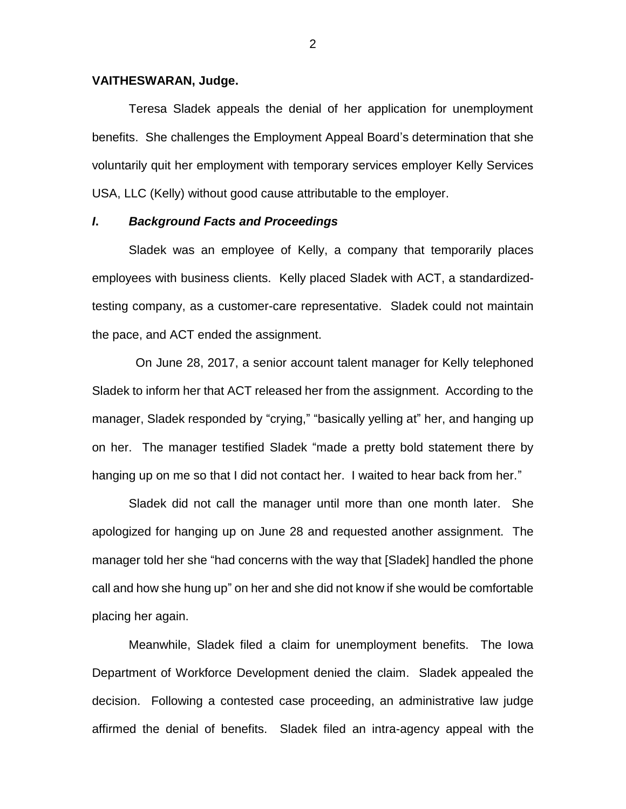### **VAITHESWARAN, Judge.**

Teresa Sladek appeals the denial of her application for unemployment benefits. She challenges the Employment Appeal Board's determination that she voluntarily quit her employment with temporary services employer Kelly Services USA, LLC (Kelly) without good cause attributable to the employer.

### *I***.** *Background Facts and Proceedings*

Sladek was an employee of Kelly, a company that temporarily places employees with business clients. Kelly placed Sladek with ACT, a standardizedtesting company, as a customer-care representative. Sladek could not maintain the pace, and ACT ended the assignment.

 On June 28, 2017, a senior account talent manager for Kelly telephoned Sladek to inform her that ACT released her from the assignment. According to the manager, Sladek responded by "crying," "basically yelling at" her, and hanging up on her. The manager testified Sladek "made a pretty bold statement there by hanging up on me so that I did not contact her. I waited to hear back from her."

Sladek did not call the manager until more than one month later. She apologized for hanging up on June 28 and requested another assignment. The manager told her she "had concerns with the way that [Sladek] handled the phone call and how she hung up" on her and she did not know if she would be comfortable placing her again.

Meanwhile, Sladek filed a claim for unemployment benefits. The Iowa Department of Workforce Development denied the claim. Sladek appealed the decision. Following a contested case proceeding, an administrative law judge affirmed the denial of benefits. Sladek filed an intra-agency appeal with the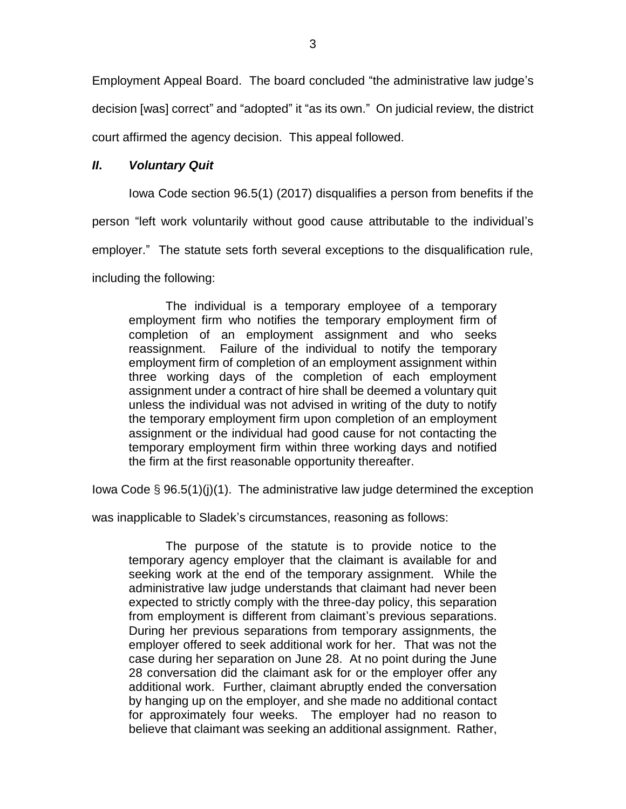Employment Appeal Board. The board concluded "the administrative law judge's decision [was] correct" and "adopted" it "as its own." On judicial review, the district court affirmed the agency decision. This appeal followed.

## *II***.** *Voluntary Quit*

Iowa Code section 96.5(1) (2017) disqualifies a person from benefits if the

person "left work voluntarily without good cause attributable to the individual's

employer." The statute sets forth several exceptions to the disqualification rule,

including the following:

The individual is a temporary employee of a temporary employment firm who notifies the temporary employment firm of completion of an employment assignment and who seeks reassignment. Failure of the individual to notify the temporary employment firm of completion of an employment assignment within three working days of the completion of each employment assignment under a contract of hire shall be deemed a voluntary quit unless the individual was not advised in writing of the duty to notify the temporary employment firm upon completion of an employment assignment or the individual had good cause for not contacting the temporary employment firm within three working days and notified the firm at the first reasonable opportunity thereafter.

Iowa Code  $\S$  96.5(1)(j)(1). The administrative law judge determined the exception

was inapplicable to Sladek's circumstances, reasoning as follows:

The purpose of the statute is to provide notice to the temporary agency employer that the claimant is available for and seeking work at the end of the temporary assignment. While the administrative law judge understands that claimant had never been expected to strictly comply with the three-day policy, this separation from employment is different from claimant's previous separations. During her previous separations from temporary assignments, the employer offered to seek additional work for her. That was not the case during her separation on June 28. At no point during the June 28 conversation did the claimant ask for or the employer offer any additional work. Further, claimant abruptly ended the conversation by hanging up on the employer, and she made no additional contact for approximately four weeks. The employer had no reason to believe that claimant was seeking an additional assignment. Rather,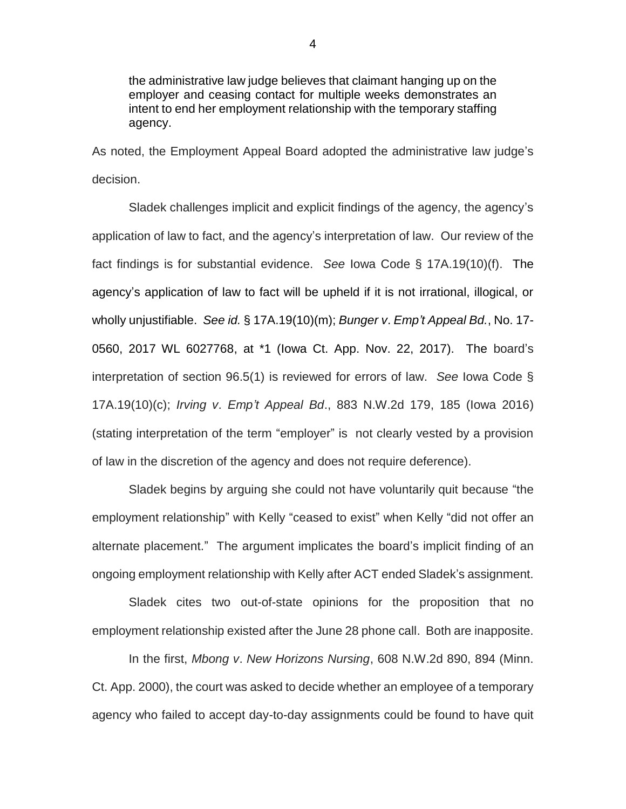the administrative law judge believes that claimant hanging up on the employer and ceasing contact for multiple weeks demonstrates an intent to end her employment relationship with the temporary staffing agency.

As noted, the Employment Appeal Board adopted the administrative law judge's decision.

Sladek challenges implicit and explicit findings of the agency, the agency's application of law to fact, and the agency's interpretation of law. Our review of the fact findings is for substantial evidence. *See* Iowa Code § 17A.19(10)(f). The agency's application of law to fact will be upheld if it is not irrational, illogical, or wholly unjustifiable. *See id.* § 17A.19(10)(m); *Bunger v*. *Emp't Appeal Bd.*, No. 17- 0560, 2017 WL 6027768, at \*1 (Iowa Ct. App. Nov. 22, 2017). The board's interpretation of section 96.5(1) is reviewed for errors of law. *See* Iowa Code § 17A.19(10)(c); *Irving v*. *Emp't Appeal Bd*., 883 N.W.2d 179, 185 (Iowa 2016) (stating interpretation of the term "employer" is not clearly vested by a provision of law in the discretion of the agency and does not require deference).

Sladek begins by arguing she could not have voluntarily quit because "the employment relationship" with Kelly "ceased to exist" when Kelly "did not offer an alternate placement." The argument implicates the board's implicit finding of an ongoing employment relationship with Kelly after ACT ended Sladek's assignment.

Sladek cites two out-of-state opinions for the proposition that no employment relationship existed after the June 28 phone call. Both are inapposite.

In the first, *Mbong v*. *New Horizons Nursing*, 608 N.W.2d 890, 894 (Minn. Ct. App. 2000), the court was asked to decide whether an employee of a temporary agency who failed to accept day-to-day assignments could be found to have quit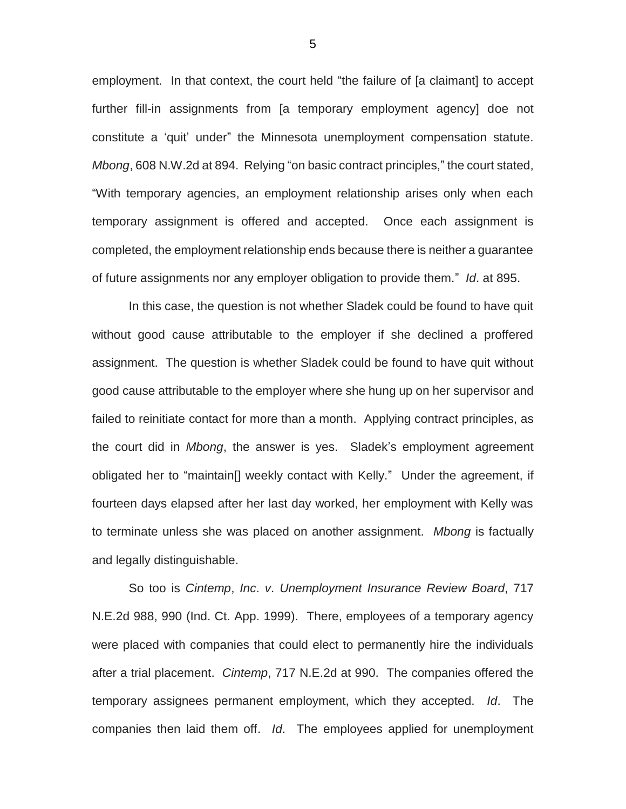employment. In that context, the court held "the failure of [a claimant] to accept further fill-in assignments from [a temporary employment agency] doe not constitute a 'quit' under" the Minnesota unemployment compensation statute. *Mbong*, 608 N.W.2d at 894. Relying "on basic contract principles," the court stated, "With temporary agencies, an employment relationship arises only when each temporary assignment is offered and accepted. Once each assignment is completed, the employment relationship ends because there is neither a guarantee of future assignments nor any employer obligation to provide them." *Id*. at 895.

In this case, the question is not whether Sladek could be found to have quit without good cause attributable to the employer if she declined a proffered assignment. The question is whether Sladek could be found to have quit without good cause attributable to the employer where she hung up on her supervisor and failed to reinitiate contact for more than a month. Applying contract principles, as the court did in *Mbong*, the answer is yes. Sladek's employment agreement obligated her to "maintain[] weekly contact with Kelly." Under the agreement, if fourteen days elapsed after her last day worked, her employment with Kelly was to terminate unless she was placed on another assignment. *Mbong* is factually and legally distinguishable.

So too is *Cintemp*, *Inc*. *v*. *Unemployment Insurance Review Board*, 717 N.E.2d 988, 990 (Ind. Ct. App. 1999). There, employees of a temporary agency were placed with companies that could elect to permanently hire the individuals after a trial placement. *Cintemp*, 717 N.E.2d at 990. The companies offered the temporary assignees permanent employment, which they accepted. *Id*. The companies then laid them off. *Id*. The employees applied for unemployment

5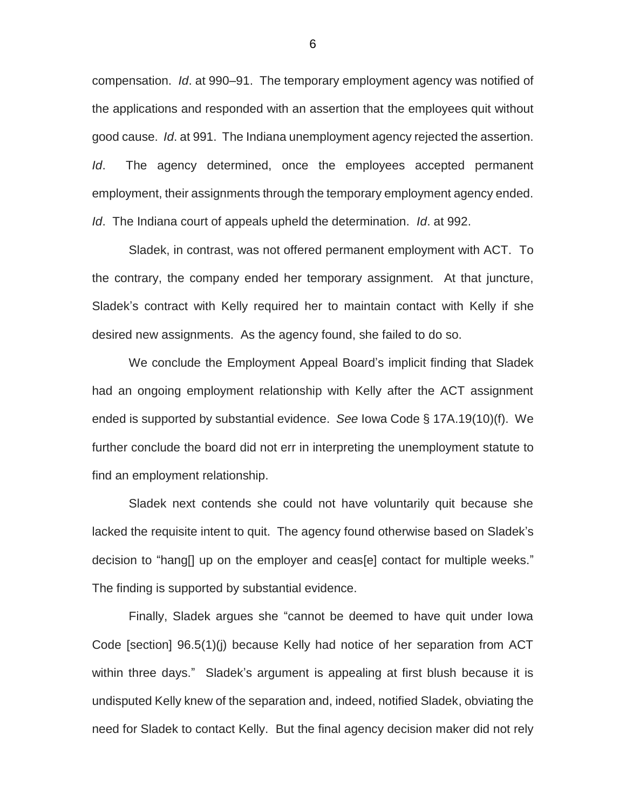compensation. *Id*. at 990–91. The temporary employment agency was notified of the applications and responded with an assertion that the employees quit without good cause. *Id*. at 991. The Indiana unemployment agency rejected the assertion. *Id*. The agency determined, once the employees accepted permanent employment, their assignments through the temporary employment agency ended. *Id*. The Indiana court of appeals upheld the determination. *Id*. at 992.

Sladek, in contrast, was not offered permanent employment with ACT. To the contrary, the company ended her temporary assignment. At that juncture, Sladek's contract with Kelly required her to maintain contact with Kelly if she desired new assignments. As the agency found, she failed to do so.

We conclude the Employment Appeal Board's implicit finding that Sladek had an ongoing employment relationship with Kelly after the ACT assignment ended is supported by substantial evidence. *See* Iowa Code § 17A.19(10)(f). We further conclude the board did not err in interpreting the unemployment statute to find an employment relationship.

Sladek next contends she could not have voluntarily quit because she lacked the requisite intent to quit. The agency found otherwise based on Sladek's decision to "hang[] up on the employer and ceas[e] contact for multiple weeks." The finding is supported by substantial evidence.

Finally, Sladek argues she "cannot be deemed to have quit under Iowa Code [section] 96.5(1)(j) because Kelly had notice of her separation from ACT within three days." Sladek's argument is appealing at first blush because it is undisputed Kelly knew of the separation and, indeed, notified Sladek, obviating the need for Sladek to contact Kelly. But the final agency decision maker did not rely

6